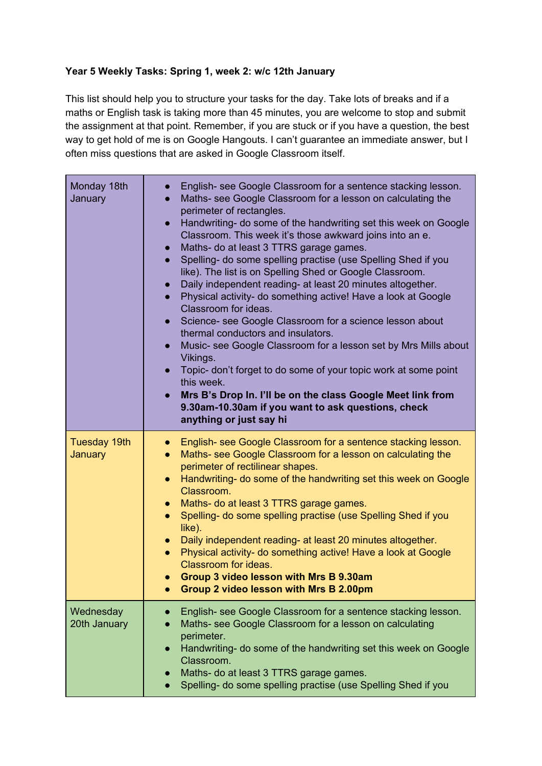## **Year 5 Weekly Tasks: Spring 1, week 2: w/c 12th January**

This list should help you to structure your tasks for the day. Take lots of breaks and if a maths or English task is taking more than 45 minutes, you are welcome to stop and submit the assignment at that point. Remember, if you are stuck or if you have a question, the best way to get hold of me is on Google Hangouts. I can't guarantee an immediate answer, but I often miss questions that are asked in Google Classroom itself.

| Monday 18th<br>January                | English- see Google Classroom for a sentence stacking lesson.<br>$\bullet$<br>Maths- see Google Classroom for a lesson on calculating the<br>$\bullet$<br>perimeter of rectangles.<br>Handwriting- do some of the handwriting set this week on Google<br>$\bullet$<br>Classroom. This week it's those awkward joins into an e.<br>Maths- do at least 3 TTRS garage games.<br>$\bullet$<br>Spelling- do some spelling practise (use Spelling Shed if you<br>$\bullet$<br>like). The list is on Spelling Shed or Google Classroom.<br>Daily independent reading- at least 20 minutes altogether.<br>$\bullet$<br>Physical activity- do something active! Have a look at Google<br>$\bullet$<br>Classroom for ideas.<br>Science- see Google Classroom for a science lesson about<br>$\bullet$<br>thermal conductors and insulators.<br>Music- see Google Classroom for a lesson set by Mrs Mills about<br>$\bullet$<br>Vikings.<br>Topic- don't forget to do some of your topic work at some point<br>$\bullet$<br>this week.<br>Mrs B's Drop In. I'll be on the class Google Meet link from<br>$\bullet$<br>9.30am-10.30am if you want to ask questions, check<br>anything or just say hi |
|---------------------------------------|-----------------------------------------------------------------------------------------------------------------------------------------------------------------------------------------------------------------------------------------------------------------------------------------------------------------------------------------------------------------------------------------------------------------------------------------------------------------------------------------------------------------------------------------------------------------------------------------------------------------------------------------------------------------------------------------------------------------------------------------------------------------------------------------------------------------------------------------------------------------------------------------------------------------------------------------------------------------------------------------------------------------------------------------------------------------------------------------------------------------------------------------------------------------------------------------|
| <b>Tuesday 19th</b><br><b>January</b> | English- see Google Classroom for a sentence stacking lesson.<br>$\bullet$<br>Maths- see Google Classroom for a lesson on calculating the<br>$\bullet$<br>perimeter of rectilinear shapes.<br>Handwriting- do some of the handwriting set this week on Google<br>$\bullet$<br>Classroom.<br>Maths- do at least 3 TTRS garage games.<br>$\bullet$<br>Spelling- do some spelling practise (use Spelling Shed if you<br>$\bullet$<br>like).<br>Daily independent reading- at least 20 minutes altogether.<br>$\bullet$<br>Physical activity- do something active! Have a look at Google<br>$\bullet$<br>Classroom for ideas.<br>Group 3 video lesson with Mrs B 9.30am<br>Group 2 video lesson with Mrs B 2.00pm                                                                                                                                                                                                                                                                                                                                                                                                                                                                           |
| Wednesday<br>20th January             | English- see Google Classroom for a sentence stacking lesson.<br>Maths- see Google Classroom for a lesson on calculating<br>perimeter.<br>Handwriting- do some of the handwriting set this week on Google<br>$\bullet$<br>Classroom.<br>Maths- do at least 3 TTRS garage games.<br>Spelling- do some spelling practise (use Spelling Shed if you<br>$\bullet$                                                                                                                                                                                                                                                                                                                                                                                                                                                                                                                                                                                                                                                                                                                                                                                                                           |